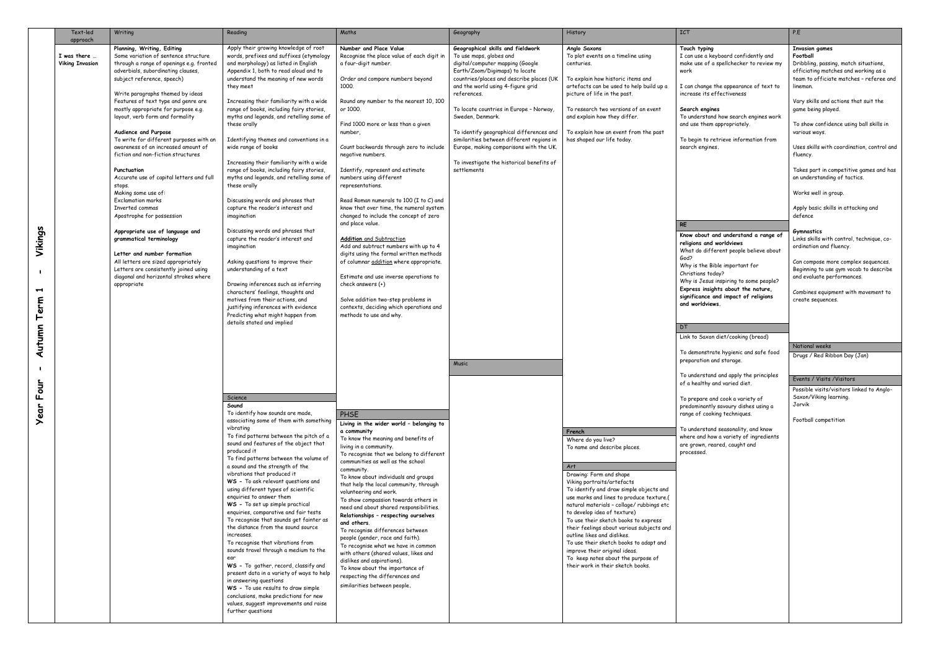|                                                              | Text-led                                          | Writing                                                                                                                                                                                                                                                                                                                                                                                                                                                                                                                                                                                                                                                                                                                                                                                                                                                                                              | Reading                                                                                                                                                                                                                                                                                                                                                                                                                                                                                                                                                                                                                                                                                                                                                                                                                                                                                                                                                                                                                                                                                                                                                                                                                                                                                                                                                                                                                                                                                                                                                                                                                                                                                                                                                                       | Maths                                                                                                                                                                                                                                                                                                                                                                                                                                                                                                                                                                                                                                                                                                                                                                                                                                                                                                                                                                                                                                                                                                                                                                                                                                                                                                                                                                                                                                                                                                                                                    | Geography                                                                                                                                                                                                                                                                                                                                                                                                                                                                                                  | History                                                                                                                                                                                                                                                                                                                                                                                                                                                                                                                                                                                                                                                                                                                                                                                                                            | <b>ICT</b>                                                                                                                                                                                                                                                                                                                                                                                                                                                                                                                                                                                                                                                                                                                                                                                                                                                                                                                                                                                                                                                                                                          | P.E                                                                                                                                                                                                                                                                                                                                                                                                                                                                                                                                                                                                                                                                                                                                                                                                                                                                                                                                                                           |
|--------------------------------------------------------------|---------------------------------------------------|------------------------------------------------------------------------------------------------------------------------------------------------------------------------------------------------------------------------------------------------------------------------------------------------------------------------------------------------------------------------------------------------------------------------------------------------------------------------------------------------------------------------------------------------------------------------------------------------------------------------------------------------------------------------------------------------------------------------------------------------------------------------------------------------------------------------------------------------------------------------------------------------------|-------------------------------------------------------------------------------------------------------------------------------------------------------------------------------------------------------------------------------------------------------------------------------------------------------------------------------------------------------------------------------------------------------------------------------------------------------------------------------------------------------------------------------------------------------------------------------------------------------------------------------------------------------------------------------------------------------------------------------------------------------------------------------------------------------------------------------------------------------------------------------------------------------------------------------------------------------------------------------------------------------------------------------------------------------------------------------------------------------------------------------------------------------------------------------------------------------------------------------------------------------------------------------------------------------------------------------------------------------------------------------------------------------------------------------------------------------------------------------------------------------------------------------------------------------------------------------------------------------------------------------------------------------------------------------------------------------------------------------------------------------------------------------|----------------------------------------------------------------------------------------------------------------------------------------------------------------------------------------------------------------------------------------------------------------------------------------------------------------------------------------------------------------------------------------------------------------------------------------------------------------------------------------------------------------------------------------------------------------------------------------------------------------------------------------------------------------------------------------------------------------------------------------------------------------------------------------------------------------------------------------------------------------------------------------------------------------------------------------------------------------------------------------------------------------------------------------------------------------------------------------------------------------------------------------------------------------------------------------------------------------------------------------------------------------------------------------------------------------------------------------------------------------------------------------------------------------------------------------------------------------------------------------------------------------------------------------------------------|------------------------------------------------------------------------------------------------------------------------------------------------------------------------------------------------------------------------------------------------------------------------------------------------------------------------------------------------------------------------------------------------------------------------------------------------------------------------------------------------------------|------------------------------------------------------------------------------------------------------------------------------------------------------------------------------------------------------------------------------------------------------------------------------------------------------------------------------------------------------------------------------------------------------------------------------------------------------------------------------------------------------------------------------------------------------------------------------------------------------------------------------------------------------------------------------------------------------------------------------------------------------------------------------------------------------------------------------------|---------------------------------------------------------------------------------------------------------------------------------------------------------------------------------------------------------------------------------------------------------------------------------------------------------------------------------------------------------------------------------------------------------------------------------------------------------------------------------------------------------------------------------------------------------------------------------------------------------------------------------------------------------------------------------------------------------------------------------------------------------------------------------------------------------------------------------------------------------------------------------------------------------------------------------------------------------------------------------------------------------------------------------------------------------------------------------------------------------------------|-------------------------------------------------------------------------------------------------------------------------------------------------------------------------------------------------------------------------------------------------------------------------------------------------------------------------------------------------------------------------------------------------------------------------------------------------------------------------------------------------------------------------------------------------------------------------------------------------------------------------------------------------------------------------------------------------------------------------------------------------------------------------------------------------------------------------------------------------------------------------------------------------------------------------------------------------------------------------------|
| Vikings<br>erm<br>Autumn<br>Jno<br><b><i><u>Vear</u></i></b> | approach<br>I was there<br><b>Viking Invasion</b> | Planning, Writing, Editing<br>Some variation of sentence structure<br>through a range of openings e.g. fronted<br>adverbials, subordinating clauses,<br>subject reference, speech)<br>Write paragraphs themed by ideas<br>Features of text type and genre are<br>mostly appropriate for purpose e.g.<br>layout, verb form and formality<br>Audience and Purpose<br>To write for different purposes with an<br>awareness of an increased amount of<br>fiction and non-fiction structures<br>Punctuation<br>Accurate use of capital letters and full<br>stops.<br>Making some use of:<br><b>Fxclamation marks</b><br>Inverted commas<br>Apostrophe for possession<br>Appropriate use of language and<br>grammatical terminology<br>Letter and number formation<br>All letters are sized appropriately<br>Letters are consistently joined using<br>diagonal and horizontal strokes where<br>appropriate | Apply their growing knowledge of root<br>words, prefixes and suffixes (etymology<br>and morphology) as listed in English<br>Appendix 1, both to read aloud and to<br>understand the meaning of new words<br>they meet<br>Increasing their familiarity with a wide<br>range of books, including fairy stories,<br>myths and legends, and retelling some of<br>these orally<br>Identifying themes and conventions in a<br>wide range of books<br>Increasing their familiarity with a wide<br>range of books, including fairy stories,<br>myths and legends, and retelling some of<br>these orally<br>Discussing words and phrases that<br>capture the reader's interest and<br>imagination<br>Discussing words and phrases that<br>capture the reader's interest and<br>imagination<br>Asking questions to improve their<br>understanding of a text<br>Drawing inferences such as inferring<br>characters' feelings, thoughts and<br>motives from their actions, and<br>justifying inferences with evidence<br>Predicting what might happen from<br>details stated and implied<br>Science<br>Sound<br>To identify how sounds are made,<br>associating some of them with something<br>vibrating<br>To find patterns between the pitch of a<br>sound and features of the object that<br>produced it<br>To find patterns between the volume of<br>a sound and the strength of the<br>vibrations that produced it<br>WS - To ask relevant questions and<br>using different types of scientific<br>enquiries to answer them<br>WS - To set up simple practical<br>enquiries, comparative and fair tests<br>To recognise that sounds get fainter as<br>the distance from the sound source<br>increases.<br>To recognise that vibrations from<br>sounds travel through a medium to the | Number and Place Value<br>Recognise the place value of each digit in<br>a four-digit number.<br>Order and compare numbers beyond<br>1000.<br>Round any number to the nearest 10, 100<br>or 1000.<br>Find 1000 more or less than a given<br>number,<br>Count backwards through zero to include<br>negative numbers.<br>Identify, represent and estimate<br>numbers using different<br>representations.<br>Read Roman numerals to 100 (I to C) and<br>know that over time, the numeral system<br>changed to include the concept of zero<br>and place value.<br><b>Addition</b> and Subtraction<br>Add and subtract numbers with up to 4<br>digits using the formal written methods<br>of columnar addition where appropriate.<br>Estimate and use inverse operations to<br>check answers (+)<br>Solve addition two-step problems in<br>contexts, deciding which operations and<br>methods to use and why.<br>PHSE<br>Living in the wider world - belonging to<br>a community<br>To know the meaning and benefits of<br>living in a community.<br>To recognise that we belong to different<br>communities as well as the school<br>community.<br>To know about individuals and groups<br>that help the local community, through<br>volunteering and work.<br>To show compassion towards others in<br>need and about shared responsibilities.<br>Relationships - respecting ourselves<br>and others.<br>To recognise differences between<br>people (gender, race and faith).<br>To recognise what we have in common<br>with others (shared values, likes and | Geographical skills and fieldwork<br>To use maps, globes and<br>digital/computer mapping (Google<br>Earth/Zoom/Digimaps) to locate<br>countries/places and describe places (UK<br>and the world using 4-figure grid<br>references.<br>To locate countries in Europe - Norway,<br>Sweden, Denmark.<br>To identify geographical differences and<br>similarities between different regions in<br>Europe, making comparisons with the UK.<br>To investigate the historical benefits of<br>settlements<br>Music | Anglo Saxons<br>To plot events on a timeline using<br>centuries.<br>To explain how historic items and<br>artefacts can be used to help build up a<br>picture of life in the past.<br>To research two versions of an event<br>and explain how they differ.<br>To explain how an event from the past<br>has shaped our life today.<br>French<br>Where do you live?<br>To name and describe places.<br>Art<br>Drawing: Form and shape<br>Viking portraits/artefacts<br>To identify and draw simple objects and<br>use marks and lines to produce texture.(<br>natural materials - collage/ rubbings etc<br>to develop idea of texture)<br>To use their sketch books to express<br>their feelings about various subjects and<br>outline likes and dislikes.<br>To use their sketch books to adapt and<br>improve their original ideas. | Touch typing<br>I can use a keyboard confidently and<br>make use of a spellchecker to review my<br>work<br>I can change the appearance of text to<br>increase its effectiveness<br>Search engines<br>To understand how search engines work<br>and use them appropriately.<br>To begin to retrieve information from<br>search engines.<br><b>RE</b><br>Know about and understand a range of<br>religions and worldviews<br>What do different people believe about<br>God?<br>Why is the Bible important for<br>Christians today?<br>Why is Jesus inspiring to some people?<br>Express insights about the nature,<br>significance and impact of religions<br>and worldviews.<br>DT.<br>Link to Saxon diet/cooking (bread)<br>To demonstrate hygienic and safe food<br>preparation and storage.<br>To understand and apply the principles<br>of a healthy and varied diet.<br>To prepare and cook a variety of<br>predominantly savoury dishes using a<br>range of cooking techniques.<br>To understand seasonality, and know<br>where and how a variety of ingredients<br>are grown, reared, caught and<br>processed. | <b>Invasion games</b><br>Football<br>Dribbling, passing, match situations,<br>officiating matches and working as a<br>team to officiate matches - referee and<br>lineman.<br>Vary skills and actions that suit the<br>game being played.<br>To show confidence using ball skills in<br>various ways.<br>Uses skills with coordination, control and<br>fluency.<br>Takes part in competitive games and has<br>an understanding of tactics.<br>Works well in group.<br>Apply basic skills in attacking and<br>defence<br>Gymnastics<br>Links skills with control, technique, co-<br>ordination and fluency.<br>Can compose more complex sequences.<br>Beginning to use gym vocab to describe<br>and evaluate performances.<br>Combines equipment with movement to<br>create sequences.<br>National weeks<br>Drugs / Red Ribbon Day (Jan)<br>Events / Visits / Visitors<br>Possible visits/visitors linked to Anglo-<br>Saxon/Viking learning.<br>Jorvik<br>Football competition |
|                                                              |                                                   |                                                                                                                                                                                                                                                                                                                                                                                                                                                                                                                                                                                                                                                                                                                                                                                                                                                                                                      | ear<br>WS - To gather, record, classify and<br>present data in a variety of ways to help<br>in answering questions<br>WS - To use results to draw simple<br>conclusions, make predictions for new<br>values, suggest improvements and raise<br>further questions                                                                                                                                                                                                                                                                                                                                                                                                                                                                                                                                                                                                                                                                                                                                                                                                                                                                                                                                                                                                                                                                                                                                                                                                                                                                                                                                                                                                                                                                                                              | dislikes and aspirations).<br>To know about the importance of<br>respecting the differences and<br>similarities between people.                                                                                                                                                                                                                                                                                                                                                                                                                                                                                                                                                                                                                                                                                                                                                                                                                                                                                                                                                                                                                                                                                                                                                                                                                                                                                                                                                                                                                          |                                                                                                                                                                                                                                                                                                                                                                                                                                                                                                            | To keep notes about the purpose of<br>their work in their sketch books.                                                                                                                                                                                                                                                                                                                                                                                                                                                                                                                                                                                                                                                                                                                                                            |                                                                                                                                                                                                                                                                                                                                                                                                                                                                                                                                                                                                                                                                                                                                                                                                                                                                                                                                                                                                                                                                                                                     |                                                                                                                                                                                                                                                                                                                                                                                                                                                                                                                                                                                                                                                                                                                                                                                                                                                                                                                                                                               |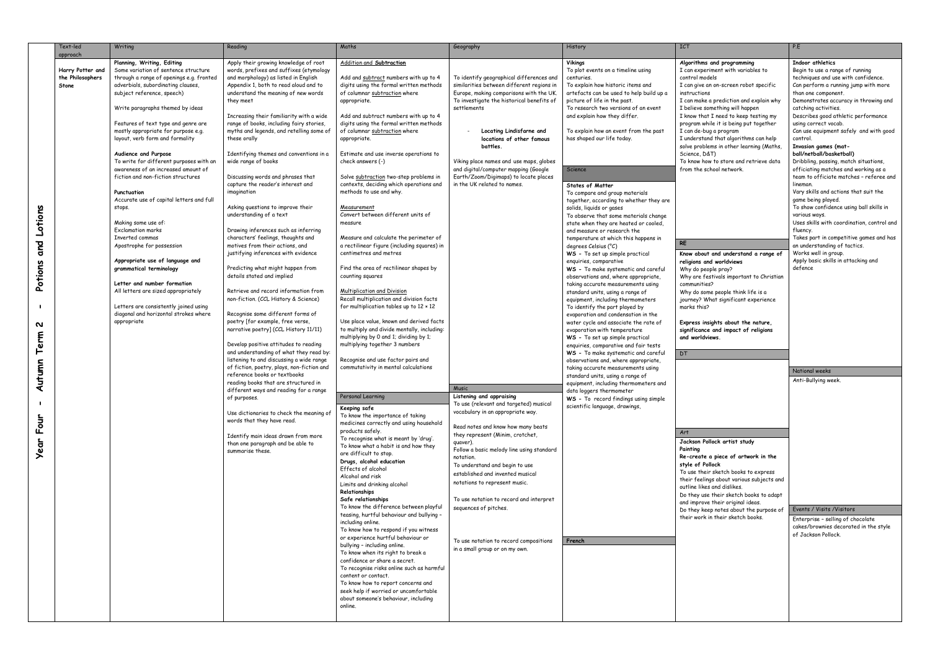|                                       | Text-led                                                  | Writing                                                                                                                                                                                                                                                                                                                                                                                                                                                                                                                                                                                                                                                                                                                       | Reading                                                                                                                                                                                                                                                                                                                                                                                                                                                                                                                                                                                                                                                                                                                                                                                           | Maths                                                                                                                                                                                                                                                                                                                                                                                                                                                                                                                                                                                                                                                                                                                                                                          | Geography                                                                                                                                                                                                                                                                                                                                                                                                                    | History                                                                                                                                                                                                                                                                                                                                                                                                                                                                                                                                                                                                                                                                                                                                                                | <b>ICT</b>                                                                                                                                                                                                                                                                                                                                                                                                                                                                                                                                                                                                                  | P.E                                                                                                                                                                                                                                                                                                                                                                                                                                                                                                                                                                                                                                                                                                                                                                                                                                                                                   |
|---------------------------------------|-----------------------------------------------------------|-------------------------------------------------------------------------------------------------------------------------------------------------------------------------------------------------------------------------------------------------------------------------------------------------------------------------------------------------------------------------------------------------------------------------------------------------------------------------------------------------------------------------------------------------------------------------------------------------------------------------------------------------------------------------------------------------------------------------------|---------------------------------------------------------------------------------------------------------------------------------------------------------------------------------------------------------------------------------------------------------------------------------------------------------------------------------------------------------------------------------------------------------------------------------------------------------------------------------------------------------------------------------------------------------------------------------------------------------------------------------------------------------------------------------------------------------------------------------------------------------------------------------------------------|--------------------------------------------------------------------------------------------------------------------------------------------------------------------------------------------------------------------------------------------------------------------------------------------------------------------------------------------------------------------------------------------------------------------------------------------------------------------------------------------------------------------------------------------------------------------------------------------------------------------------------------------------------------------------------------------------------------------------------------------------------------------------------|------------------------------------------------------------------------------------------------------------------------------------------------------------------------------------------------------------------------------------------------------------------------------------------------------------------------------------------------------------------------------------------------------------------------------|------------------------------------------------------------------------------------------------------------------------------------------------------------------------------------------------------------------------------------------------------------------------------------------------------------------------------------------------------------------------------------------------------------------------------------------------------------------------------------------------------------------------------------------------------------------------------------------------------------------------------------------------------------------------------------------------------------------------------------------------------------------------|-----------------------------------------------------------------------------------------------------------------------------------------------------------------------------------------------------------------------------------------------------------------------------------------------------------------------------------------------------------------------------------------------------------------------------------------------------------------------------------------------------------------------------------------------------------------------------------------------------------------------------|---------------------------------------------------------------------------------------------------------------------------------------------------------------------------------------------------------------------------------------------------------------------------------------------------------------------------------------------------------------------------------------------------------------------------------------------------------------------------------------------------------------------------------------------------------------------------------------------------------------------------------------------------------------------------------------------------------------------------------------------------------------------------------------------------------------------------------------------------------------------------------------|
| Lotions<br>and                        | approach<br>Harry Potter and<br>the Philosophers<br>Stone | Planning, Writing, Editing<br>Some variation of sentence structure<br>through a range of openings e.g. fronted<br>adverbials, subordinating clauses,<br>subject reference, speech)<br>Write paragraphs themed by ideas<br>Features of text type and genre are<br>mostly appropriate for purpose e.g.<br>layout, verb form and formality<br>Audience and Purpose<br>To write for different purposes with an<br>awareness of an increased amount of<br>fiction and non-fiction structures<br>Punctuation<br>Accurate use of capital letters and full<br>stops.<br>Making some use of:<br><b>Exclamation marks</b><br>Inverted commas<br>Apostrophe for possession<br>Appropriate use of language and<br>grammatical terminology | Apply their growing knowledge of root<br>words, prefixes and suffixes (etymology<br>and morphology) as listed in English<br>Appendix 1, both to read aloud and to<br>understand the meaning of new words<br>they meet<br>Increasing their familiarity with a wide<br>range of books, including fairy stories,<br>myths and legends, and retelling some of<br>these orally<br>Identifying themes and conventions in a<br>wide range of books<br>Discussing words and phrases that<br>capture the reader's interest and<br>imagination<br>Asking questions to improve their<br>understanding of a text<br>Drawing inferences such as inferring<br>characters' feelings, thoughts and<br>motives from their actions, and<br>justifying inferences with evidence<br>Predicting what might happen from | Addition and Subtraction<br>Add and subtract numbers with up to 4<br>digits using the formal written methods<br>of columnar subtraction where<br>appropriate.<br>Add and subtract numbers with up to 4<br>digits using the formal written methods<br>of columnar subtraction where<br>appropriate.<br>Estimate and use inverse operations to<br>check answers (-)<br>Solve subtraction two-step problems in<br>contexts, deciding which operations and<br>methods to use and why.<br><u> Measurement</u><br>Convert between different units of<br>measure<br>Measure and calculate the perimeter of<br>a rectilinear figure (including squares) in<br>centimetres and metres<br>Find the area of rectilinear shapes by                                                         | To identify geographical differences and<br>similarities between different regions in<br>Europe, making comparisons with the UK.<br>To investigate the historical benefits of<br>settlements<br>Locating Lindisfarne and<br>locations of other famous<br>battles.<br>Viking place names and use maps, globes<br>and digital/computer mapping (Google<br>Earth/Zoom/Digimaps) to locate places<br>in the UK related to names. | <b>Vikings</b><br>To plot events on a timeline using<br>centuries.<br>To explain how historic items and<br>artefacts can be used to help build up a<br>picture of life in the past.<br>To research two versions of an event<br>and explain how they differ.<br>To explain how an event from the past<br>has shaped our life today.<br>Science<br><b>States of Matter</b><br>To compare and group materials<br>together, according to whether they are<br>solids, liquids or gases<br>To observe that some materials change<br>state when they are heated or cooled,<br>and measure or research the<br>temperature at which this happens in<br>degrees Celsius (°C)<br>WS - To set up simple practical<br>enquiries, comparative<br>WS - To make systematic and careful | Algorithms and programming<br>I can experiment with variables to<br>control models<br>I can give an on-screen robot specific<br>instructions<br>I can make a prediction and explain why<br>I believe something will happen<br>I know that I need to keep testing my<br>program while it is being put together<br>I can de-bug a program<br>I understand that algorithms can help<br>solve problems in other learning (Maths,<br>Science, D&T)<br>To know how to store and retrieve data<br>from the school network.<br><b>RE</b><br>Know about and understand a range of<br>religions and worldviews<br>Why do people pray? | Indoor athletics<br>Begin to use a range of running<br>techniques and use with confidence.<br>Can perform a running jump with more<br>than one component.<br>Demonstrates accuracy in throwing and<br>catching activities.<br>Describes good athletic performance<br>using correct vocab.<br>Can use equipment safely and with good<br>control.<br>Invasion games (mat-<br>ball/netball/basketball)<br>Dribbling, passing, match situations,<br>officiating matches and working as a<br>team to officiate matches - referee and<br>lineman.<br>Vary skills and actions that suit the<br>game being played.<br>To show confidence using ball skills in<br>various ways.<br>Uses skills with coordination, control and<br>fluency.<br>Takes part in competitive games and has<br>an understanding of tactics.<br>Works well in group.<br>Apply basic skills in attacking and<br>defence |
| Potions<br>N<br>Term<br>Autumn<br>Jup |                                                           | Letter and number formation<br>All letters are sized appropriately<br>Letters are consistently joined using<br>diagonal and horizontal strokes where<br>appropriate                                                                                                                                                                                                                                                                                                                                                                                                                                                                                                                                                           | details stated and implied<br>Retrieve and record information from<br>non-fiction. (CCL History & Science)<br>Recognise some different forms of<br>poetry [for example, free verse,<br>narrative poetry] (CCL History 11/11)<br>Develop positive attitudes to reading<br>and understanding of what they read by:<br>listening to and discussing a wide range<br>of fiction, poetry, plays, non-fiction and<br>reference books or textbooks<br>reading books that are structured in<br>different ways and reading for a range<br>of purposes.<br>Use dictionaries to check the meaning of<br>words that they have read.                                                                                                                                                                            | counting squares<br>Multiplication and Division<br>Recall multiplication and division facts<br>for multiplication tables up to $12 \times 12$<br>Use place value, known and derived facts<br>to multiply and divide mentally, including:<br>multiplying by 0 and 1; dividing by 1;<br>multiplying together 3 numbers<br>Recognise and use factor pairs and<br>commutativity in mental calculations<br>Personal Learning<br>Keeping safe<br>To know the importance of taking<br>medicines correctly and using household                                                                                                                                                                                                                                                         | <b>Music</b><br>Listening and appraising<br>To use (relevant and targeted) musical<br>vocabulary in an appropriate way.                                                                                                                                                                                                                                                                                                      | observations and, where appropriate,<br>taking accurate measurements using<br>standard units, using a range of<br>equipment, including thermometers<br>To identify the part played by<br>evaporation and condensation in the<br>water cycle and associate the rate of<br>evaporation with temperature<br>WS - To set up simple practical<br>enquiries, comparative and fair tests<br>WS - To make systematic and careful<br>observations and, where appropriate,<br>taking accurate measurements using<br>standard units, using a range of<br>equipment, including thermometers and<br>data loggers thermometer<br>WS - To record findings using simple<br>scientific language, drawings,                                                                              | Why are festivals important to Christian<br>communities?<br>Why do some people think life is a<br>journey? What significant experience<br>marks this?<br>Express insights about the nature,<br>significance and impact of religions<br>and worldviews.<br>DT                                                                                                                                                                                                                                                                                                                                                                | National weeks<br>Anti-Bullying week.                                                                                                                                                                                                                                                                                                                                                                                                                                                                                                                                                                                                                                                                                                                                                                                                                                                 |
| ட்<br><b>Year</b>                     |                                                           |                                                                                                                                                                                                                                                                                                                                                                                                                                                                                                                                                                                                                                                                                                                               | Identify main ideas drawn from more<br>than one paragraph and be able to<br>summarise these.                                                                                                                                                                                                                                                                                                                                                                                                                                                                                                                                                                                                                                                                                                      | products safely.<br>To recognise what is meant by 'drug'.<br>To know what a habit is and how they<br>are difficult to stop.<br>Drugs, alcohol education<br>Effects of alcohol<br>Alcohol and risk<br>Limits and drinking alcohol<br>Relationships<br>Safe relationships<br>To know the difference between playful<br>teasing, hurtful behaviour and bullying -<br>including online.<br>To know how to respond if you witness<br>or experience hurtful behaviour or<br>bullying - including online.<br>To know when its right to break a<br>confidence or share a secret.<br>To recognise risks online such as harmful<br>content or contact.<br>To know how to report concerns and<br>seek help if worried or uncomfortable<br>about someone's behaviour, including<br>online. | Read notes and know how many beats<br>they represent (Minim, crotchet,<br>quaver).<br>Follow a basic melody line using standard<br>notation.<br>To understand and begin to use<br>established and invented musical<br>notations to represent music.<br>To use notation to record and interpret<br>sequences of pitches.<br>To use notation to record compositions<br>in a small group or on my own.                          | French                                                                                                                                                                                                                                                                                                                                                                                                                                                                                                                                                                                                                                                                                                                                                                 | Art<br>Jackson Pollock artist study<br>Painting<br>Re-create a piece of artwork in the<br>style of Pollock<br>To use their sketch books to express<br>their feelings about various subjects and<br>outline likes and dislikes.<br>Do they use their sketch books to adapt<br>and improve their original ideas.<br>Do they keep notes about the purpose of<br>their work in their sketch books.                                                                                                                                                                                                                              | Events / Visits / Visitors<br>Enterprise - selling of chocolate<br>cakes/brownies decorated in the style<br>of Jackson Pollock.                                                                                                                                                                                                                                                                                                                                                                                                                                                                                                                                                                                                                                                                                                                                                       |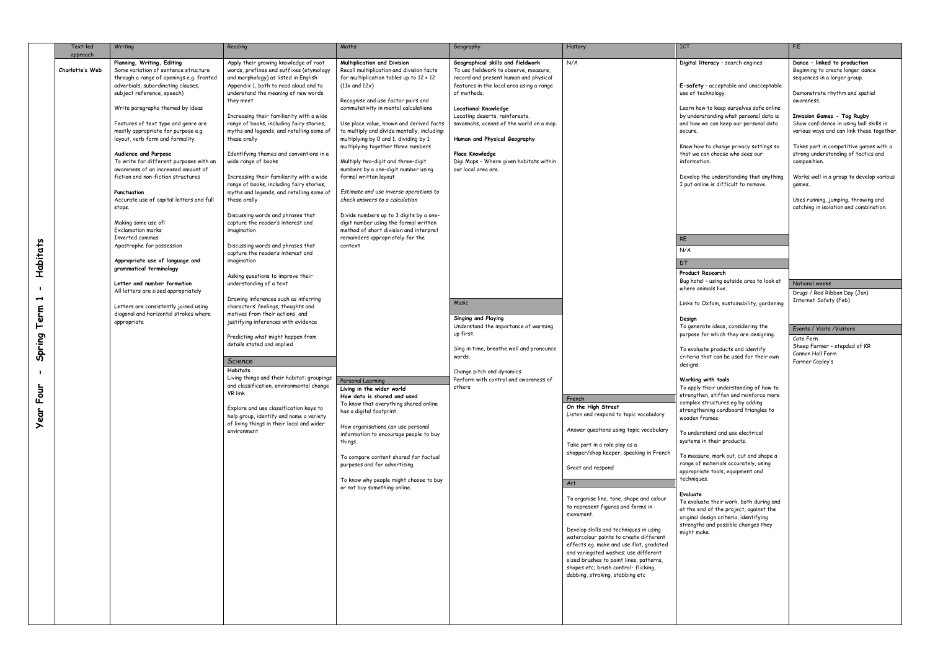|                             | Text-led        | Writing                                                          | Reading                                                                              | Maths                                                                        | Geography                                                                  | History                                                                         | <b>ICT</b>                                                                      | P.E                                                                           |
|-----------------------------|-----------------|------------------------------------------------------------------|--------------------------------------------------------------------------------------|------------------------------------------------------------------------------|----------------------------------------------------------------------------|---------------------------------------------------------------------------------|---------------------------------------------------------------------------------|-------------------------------------------------------------------------------|
|                             | approach        | Planning, Writing, Editing                                       | Apply their growing knowledge of root                                                | Multiplication and Division                                                  | Geographical skills and fieldwork                                          | N/A                                                                             | Digital literacy - search engines                                               | Dance - linked to production                                                  |
|                             | Charlotte's Web | Some variation of sentence structure                             | words, prefixes and suffixes (etymology                                              | Recall multiplication and division facts                                     | To use fieldwork to observe, measure,                                      |                                                                                 |                                                                                 | Beginning to create longer dance                                              |
|                             |                 | through a range of openings e.g. fronted                         | and morphology) as listed in English                                                 | for multiplication tables up to $12 \times 12$                               | record and present human and physical                                      |                                                                                 |                                                                                 | sequences in a larger group.                                                  |
|                             |                 | adverbials, subordinating clauses,<br>subject reference, speech) | Appendix 1, both to read aloud and to<br>understand the meaning of new words         | $(11x \text{ and } 12x)$                                                     | features in the local area using a range<br>of methods.                    |                                                                                 | E-safety - acceptable and unacceptable<br>use of technology.                    | Demonstrate rhythm and spatial                                                |
|                             |                 |                                                                  | they meet                                                                            | Recognise and use factor pairs and                                           |                                                                            |                                                                                 |                                                                                 | awareness.                                                                    |
|                             |                 | Write paragraphs themed by ideas                                 |                                                                                      | commutativity in mental calculations                                         | <b>Locational Knowledge</b>                                                |                                                                                 | Learn how to keep ourselves safe online                                         |                                                                               |
|                             |                 | Features of text type and genre are                              | Increasing their familiarity with a wide<br>range of books, including fairy stories, | Use place value, known and derived facts                                     | Locating deserts, rainforests,<br>savannahs, oceans of the world on a map. |                                                                                 | by understanding what personal data is<br>and how we can keep our personal data | <b>Invasion Games - Tag Rugby</b><br>Show confidence in using ball skills in  |
|                             |                 | mostly appropriate for purpose e.g.                              | myths and legends, and retelling some of                                             | to multiply and divide mentally, including:                                  |                                                                            |                                                                                 | secure.                                                                         | various ways and can link these together.                                     |
|                             |                 | layout, verb form and formality                                  | these orally                                                                         | multiplying by 0 and 1; dividing by 1;                                       | Human and Physical Geography                                               |                                                                                 |                                                                                 |                                                                               |
|                             |                 | Audience and Purpose                                             | Identifying themes and conventions in a                                              | multiplying together three numbers                                           |                                                                            |                                                                                 | Know how to change privacy settings so<br>that we can choose who sees our       | Takes part in competitive games with a<br>strong understanding of tactics and |
|                             |                 | To write for different purposes with an                          | wide range of books                                                                  | Multiply two-digit and three-digit                                           | <b>Place Knowledge</b><br>Digi Maps - Where given habitats within          |                                                                                 | information.                                                                    | composition.                                                                  |
|                             |                 | awareness of an increased amount of                              |                                                                                      | numbers by a one-digit number using                                          | our local area are.                                                        |                                                                                 |                                                                                 |                                                                               |
|                             |                 | fiction and non-fiction structures                               | Increasing their familiarity with a wide<br>range of books, including fairy stories, | formal written layout                                                        |                                                                            |                                                                                 | Develop the understanding that anything<br>I put online is difficult to remove. | Works well in a group to develop various<br>games.                            |
|                             |                 | Punctuation                                                      | myths and legends, and retelling some of                                             | Estimate and use inverse operations to                                       |                                                                            |                                                                                 |                                                                                 |                                                                               |
|                             |                 | Accurate use of capital letters and full                         | these orally                                                                         | check answers to a calculation                                               |                                                                            |                                                                                 |                                                                                 | Uses running, jumping, throwing and                                           |
|                             |                 | stops.                                                           | Discussing words and phrases that                                                    | Divide numbers up to 3 digits by a one-                                      |                                                                            |                                                                                 |                                                                                 | catching in isolation and combination.                                        |
|                             |                 | Making some use of:                                              | capture the reader's interest and                                                    | digit number using the formal written                                        |                                                                            |                                                                                 |                                                                                 |                                                                               |
|                             |                 | <b>Exclamation marks</b>                                         | imagination                                                                          | method of short division and interpret                                       |                                                                            |                                                                                 |                                                                                 |                                                                               |
|                             |                 | Inverted commas<br>Apostrophe for possession                     | Discussing words and phrases that                                                    | remainders appropriately for the<br>context                                  |                                                                            |                                                                                 | <b>RE</b>                                                                       |                                                                               |
|                             |                 |                                                                  | capture the reader's interest and                                                    |                                                                              |                                                                            |                                                                                 | N/A                                                                             |                                                                               |
| Habitats                    |                 | Appropriate use of language and                                  | imagination                                                                          |                                                                              |                                                                            |                                                                                 | DT                                                                              |                                                                               |
|                             |                 | grammatical terminology                                          | Asking questions to improve their                                                    |                                                                              |                                                                            |                                                                                 | <b>Product Research</b>                                                         |                                                                               |
|                             |                 | Letter and number formation                                      | understanding of a text                                                              |                                                                              |                                                                            |                                                                                 | Bug hotel - using outside area to look at<br>where animals live.                | National weeks                                                                |
| $\mathbin{\rightharpoonup}$ |                 | All letters are sized appropriately                              | Drawing inferences such as inferring                                                 |                                                                              |                                                                            |                                                                                 |                                                                                 | Drugs / Red Ribbon Day (Jan)                                                  |
|                             |                 | Letters are consistently joined using                            | characters' feelings, thoughts and                                                   |                                                                              | Music                                                                      |                                                                                 | Links to Oxfam, sustainability, gardening                                       | Internet Safety (Feb)                                                         |
| erm                         |                 | diagonal and horizontal strokes where                            | motives from their actions, and                                                      |                                                                              | <b>Singing and Playing</b>                                                 |                                                                                 | Design                                                                          |                                                                               |
|                             |                 | appropriate                                                      | justifying inferences with evidence                                                  |                                                                              | Understand the importance of warming                                       |                                                                                 | To generate ideas, considering the                                              | Events / Visits / Visitors                                                    |
|                             |                 |                                                                  | Predicting what might happen from                                                    |                                                                              | up first.                                                                  |                                                                                 | purpose for which they are designing.                                           | Cate Fern                                                                     |
| Spring                      |                 |                                                                  | details stated and implied                                                           |                                                                              | Sing in time, breathe well and pronounce                                   |                                                                                 | To evaluate products and identify                                               | Sheep Farmer - stepdad of KR                                                  |
|                             |                 |                                                                  | Science                                                                              |                                                                              | words.                                                                     |                                                                                 | criteria that can be used for their own                                         | Cannon Hall Farm<br>Farmer Copley's                                           |
|                             |                 |                                                                  | <b>Habitats</b>                                                                      |                                                                              | Change pitch and dynamics                                                  |                                                                                 | designs.                                                                        |                                                                               |
|                             |                 |                                                                  | Living things and their habitat: groupings                                           | Personal Learning                                                            | Perform with control and awareness of                                      |                                                                                 | Working with tools                                                              |                                                                               |
| ے<br>=                      |                 |                                                                  | and classification, environmental change<br>VR link                                  | Living in the wider world                                                    | others                                                                     |                                                                                 | To apply their understanding of how to                                          |                                                                               |
| Ō                           |                 |                                                                  |                                                                                      | How data is shared and used<br>To know that everything shared online         |                                                                            | French                                                                          | strengthen, stiffen and reinforce more<br>complex structures eg by adding       |                                                                               |
|                             |                 |                                                                  | Explore and use classification keys to                                               | has a digital footprint.                                                     |                                                                            | On the High Street<br>Listen and respond to topic vocabulary                    | strengthening cardboard triangles to                                            |                                                                               |
| <b>year</b>                 |                 |                                                                  | help group, identify and name a variety<br>of living things in their local and wider |                                                                              |                                                                            |                                                                                 | wooden frames.                                                                  |                                                                               |
|                             |                 |                                                                  | environment                                                                          | How organisations can use personal<br>information to encourage people to buy |                                                                            | Answer questions using topic vocabulary                                         | To understand and use electrical                                                |                                                                               |
|                             |                 |                                                                  |                                                                                      | things.                                                                      |                                                                            | Take part in a role play as a                                                   | systems in their products.                                                      |                                                                               |
|                             |                 |                                                                  |                                                                                      |                                                                              |                                                                            | shopper/shop keeper, speaking in French                                         | To measure, mark out, cut and shape a                                           |                                                                               |
|                             |                 |                                                                  |                                                                                      | To compare content shared for factual<br>purposes and for advertising.       |                                                                            |                                                                                 | range of materials accurately, using                                            |                                                                               |
|                             |                 |                                                                  |                                                                                      |                                                                              |                                                                            | Greet and respond                                                               | appropriate tools, equipment and                                                |                                                                               |
|                             |                 |                                                                  |                                                                                      | To know why people might choose to buy<br>or not buy something online.       |                                                                            | Art                                                                             | techniques.                                                                     |                                                                               |
|                             |                 |                                                                  |                                                                                      |                                                                              |                                                                            |                                                                                 | Evaluate                                                                        |                                                                               |
|                             |                 |                                                                  |                                                                                      |                                                                              |                                                                            | To organise line, tone, shape and colour<br>to represent figures and forms in   | To evaluate their work, both during and                                         |                                                                               |
|                             |                 |                                                                  |                                                                                      |                                                                              |                                                                            | movement.                                                                       | at the end of the project, against the<br>original design criteria, identifying |                                                                               |
|                             |                 |                                                                  |                                                                                      |                                                                              |                                                                            | Develop skills and techniques in using                                          | strengths and possible changes they                                             |                                                                               |
|                             |                 |                                                                  |                                                                                      |                                                                              |                                                                            | watercolour paints to create different                                          | might make.                                                                     |                                                                               |
|                             |                 |                                                                  |                                                                                      |                                                                              |                                                                            | effects eg. make and use flat, gradated                                         |                                                                                 |                                                                               |
|                             |                 |                                                                  |                                                                                      |                                                                              |                                                                            | and variegated washes; use different<br>sized brushes to paint lines, patterns, |                                                                                 |                                                                               |
|                             |                 |                                                                  |                                                                                      |                                                                              |                                                                            | shapes etc; brush control-flicking,                                             |                                                                                 |                                                                               |
|                             |                 |                                                                  |                                                                                      |                                                                              |                                                                            | dabbing, stroking, stabbing etc                                                 |                                                                                 |                                                                               |
|                             |                 |                                                                  |                                                                                      |                                                                              |                                                                            |                                                                                 |                                                                                 |                                                                               |
|                             |                 |                                                                  |                                                                                      |                                                                              |                                                                            |                                                                                 |                                                                                 |                                                                               |
|                             |                 |                                                                  |                                                                                      |                                                                              |                                                                            |                                                                                 |                                                                                 |                                                                               |
|                             |                 |                                                                  |                                                                                      |                                                                              |                                                                            |                                                                                 |                                                                                 |                                                                               |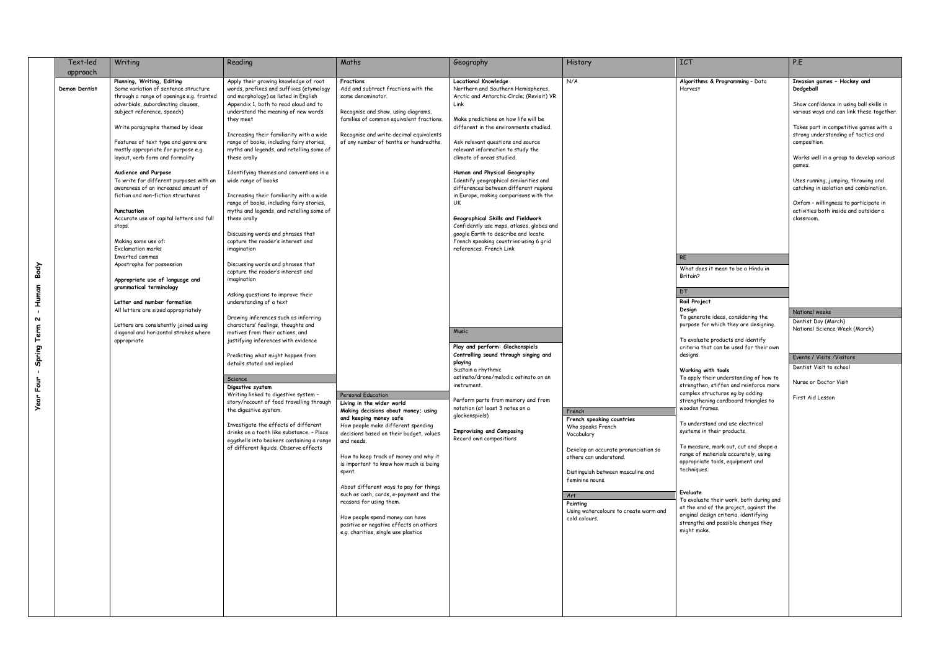|                                                  | Text-led                  | Writing                                                                                                                                                                                                                                                                                                                                                                                                                                                                                                                                                                                                                                                                                                                                                                                                                                                                                              | Reading                                                                                                                                                                                                                                                                                                                                                                                                                                                                                                                                                                                                                                                                                                                                                                                                                                                                                                                                                                                                                                                                                                                                                                                                                                                                                                                                                                                                                       | Maths                                                                                                                                                                                                                                                                                                                                                                                                                                                                                                                                                                                                                                                                                                                                                               | Geography                                                                                                                                                                                                                                                                                                                                                                                                                                                                                                                                                                                                                                                                                                                                                                                                                                                                                                                                                                                                                | History                                                                                                                                                                                                                                                                              | <b>ICT</b>                                                                                                                                                                                                                                                                                                                                                                                                                                                                                                                                                                                                                                                                                                                                                                                                                                                                                                                               | P.E                                                                                                                                                                                                                                                                                                                                                                                                                                                                                                                                                                                                                                                      |
|--------------------------------------------------|---------------------------|------------------------------------------------------------------------------------------------------------------------------------------------------------------------------------------------------------------------------------------------------------------------------------------------------------------------------------------------------------------------------------------------------------------------------------------------------------------------------------------------------------------------------------------------------------------------------------------------------------------------------------------------------------------------------------------------------------------------------------------------------------------------------------------------------------------------------------------------------------------------------------------------------|-------------------------------------------------------------------------------------------------------------------------------------------------------------------------------------------------------------------------------------------------------------------------------------------------------------------------------------------------------------------------------------------------------------------------------------------------------------------------------------------------------------------------------------------------------------------------------------------------------------------------------------------------------------------------------------------------------------------------------------------------------------------------------------------------------------------------------------------------------------------------------------------------------------------------------------------------------------------------------------------------------------------------------------------------------------------------------------------------------------------------------------------------------------------------------------------------------------------------------------------------------------------------------------------------------------------------------------------------------------------------------------------------------------------------------|---------------------------------------------------------------------------------------------------------------------------------------------------------------------------------------------------------------------------------------------------------------------------------------------------------------------------------------------------------------------------------------------------------------------------------------------------------------------------------------------------------------------------------------------------------------------------------------------------------------------------------------------------------------------------------------------------------------------------------------------------------------------|--------------------------------------------------------------------------------------------------------------------------------------------------------------------------------------------------------------------------------------------------------------------------------------------------------------------------------------------------------------------------------------------------------------------------------------------------------------------------------------------------------------------------------------------------------------------------------------------------------------------------------------------------------------------------------------------------------------------------------------------------------------------------------------------------------------------------------------------------------------------------------------------------------------------------------------------------------------------------------------------------------------------------|--------------------------------------------------------------------------------------------------------------------------------------------------------------------------------------------------------------------------------------------------------------------------------------|------------------------------------------------------------------------------------------------------------------------------------------------------------------------------------------------------------------------------------------------------------------------------------------------------------------------------------------------------------------------------------------------------------------------------------------------------------------------------------------------------------------------------------------------------------------------------------------------------------------------------------------------------------------------------------------------------------------------------------------------------------------------------------------------------------------------------------------------------------------------------------------------------------------------------------------|----------------------------------------------------------------------------------------------------------------------------------------------------------------------------------------------------------------------------------------------------------------------------------------------------------------------------------------------------------------------------------------------------------------------------------------------------------------------------------------------------------------------------------------------------------------------------------------------------------------------------------------------------------|
| e<br>पर्<br>Human<br>N<br>Term<br>Spring<br>Four | approach<br>Demon Dentist | Planning, Writing, Editing<br>Some variation of sentence structure<br>through a range of openings e.g. fronted<br>adverbials, subordinating clauses,<br>subject reference, speech)<br>Write paragraphs themed by ideas<br>Features of text type and genre are<br>mostly appropriate for purpose e.g.<br>layout, verb form and formality<br>Audience and Purpose<br>To write for different purposes with an<br>awareness of an increased amount of<br>fiction and non-fiction structures<br>Punctuation<br>Accurate use of capital letters and full<br>stops.<br>Making some use of:<br><b>Exclamation marks</b><br>Inverted commas<br>Apostrophe for possession<br>Appropriate use of language and<br>grammatical terminology<br>Letter and number formation<br>All letters are sized appropriately<br>Letters are consistently joined using<br>diagonal and horizontal strokes where<br>appropriate | Apply their growing knowledge of root<br>words, prefixes and suffixes (etymology<br>and morphology) as listed in English<br>Appendix 1, both to read aloud and to<br>understand the meaning of new words<br>they meet<br>Increasing their familiarity with a wide<br>range of books, including fairy stories,<br>myths and legends, and retelling some of<br>these orally<br>Identifying themes and conventions in a<br>wide range of books<br>Increasing their familiarity with a wide<br>range of books, including fairy stories,<br>myths and legends, and retelling some of<br>these orally<br>Discussing words and phrases that<br>capture the reader's interest and<br>imagination<br>Discussing words and phrases that<br>capture the reader's interest and<br>imagination<br>Asking questions to improve their<br>understanding of a text<br>Drawing inferences such as inferring<br>characters' feelings, thoughts and<br>motives from their actions, and<br>justifying inferences with evidence<br>Predicting what might happen from<br>details stated and implied<br>Science<br>Digestive system<br>Writing linked to digestive system -<br>story/recount of food travelling through Living in the wider world<br>the digestive system.<br>Investigate the effects of different<br>drinks on a tooth like substance. - Place<br>eggshells into beakers containing a range<br>of different liquids. Observe effects | Fractions<br>Add and subtract fractions with the<br>same denominator.<br>Recognise and show, using diagrams,<br>families of common equivalent fractions.<br>Recognise and write decimal equivalents<br>of any number of tenths or hundredths.<br>Personal Education<br>Making decisions about money; using<br>and keeping money safe<br>How people make different spending<br>decisions based on their budget, values<br>and needs.<br>How to keep track of money and why it<br>is important to know how much is being<br>spent.<br>About different ways to pay for things<br>such as cash, cards, e-payment and the<br>reasons for using them.<br>How people spend money can have<br>positive or negative effects on others<br>e.g. charities, single use plastics | <b>Locational Knowledge</b><br>Northern and Southern Hemispheres,<br>Arctic and Antarctic Circle; (Revisit) VR<br>Link<br>Make predictions on how life will be<br>different in the environments studied.<br>Ask relevant questions and source<br>relevant information to study the<br>climate of areas studied.<br>Human and Physical Geography<br>Identify geographical similarities and<br>differences between different regions<br>in Europe, making comparisons with the<br>UK<br>Geographical Skills and Fieldwork<br>Confidently use maps, atlases, globes and<br>google Earth to describe and locate<br>French speaking countries using 6 grid<br>references. French Link<br>Music<br>Play and perform: Glockenspiels<br>Controlling sound through singing and<br>playing<br>Sustain a rhythmic<br>ostinato/drone/melodic ostinato on an<br>instrument.<br>Perform parts from memory and from<br>notation (at least 3 notes on a<br>glockenspiels)<br><b>Improvising and Composing</b><br>Record own compositions | N/A<br>French<br>French speaking countries<br>Who speaks French<br>Vocabulary<br>Develop an accurate pronunciation so<br>others can understand.<br>Distinguish between masculine and<br>feminine nouns.<br>Art<br>Painting<br>Using watercolours to create warm and<br>cold colours. | Algorithms & Programming - Data<br>Harvest<br><b>RE</b><br>What does it mean to be a Hindu in<br>Britain?<br><b>DT</b><br>Rail Project<br>Design<br>To generate ideas, considering the<br>purpose for which they are designing.<br>To evaluate products and identify<br>criteria that can be used for their own<br>designs.<br>Working with tools<br>To apply their understanding of how to<br>strengthen, stiffen and reinforce more<br>complex structures eg by adding<br>strengthening cardboard triangles to<br>wooden frames.<br>To understand and use electrical<br>systems in their products.<br>To measure, mark out, cut and shape a<br>range of materials accurately, using<br>appropriate tools, equipment and<br>techniques.<br>Evaluate<br>To evaluate their work, both during and<br>at the end of the project, against the<br>original design criteria, identifying<br>strengths and possible changes they<br>might make. | Invasion games - Hockey and<br>Dodgeball<br>Show confidence in using ball skills in<br>various ways and can link these together.<br>Takes part in competitive games with a<br>strong understanding of tactics and<br>composition.<br>Works well in a group to develop various<br>games.<br>Uses running, jumping, throwing and<br>catching in isolation and combination.<br>Oxfam - willingness to participate in<br>activities both inside and outsider a<br>classroom.<br>National weeks<br>Dentist Day (March)<br>National Science Week (March)<br>Events / Visits / Visitors<br>Dentist Visit to school<br>Nurse or Doctor Visit<br>First Aid Lesson |
|                                                  |                           |                                                                                                                                                                                                                                                                                                                                                                                                                                                                                                                                                                                                                                                                                                                                                                                                                                                                                                      |                                                                                                                                                                                                                                                                                                                                                                                                                                                                                                                                                                                                                                                                                                                                                                                                                                                                                                                                                                                                                                                                                                                                                                                                                                                                                                                                                                                                                               |                                                                                                                                                                                                                                                                                                                                                                                                                                                                                                                                                                                                                                                                                                                                                                     |                                                                                                                                                                                                                                                                                                                                                                                                                                                                                                                                                                                                                                                                                                                                                                                                                                                                                                                                                                                                                          |                                                                                                                                                                                                                                                                                      |                                                                                                                                                                                                                                                                                                                                                                                                                                                                                                                                                                                                                                                                                                                                                                                                                                                                                                                                          |                                                                                                                                                                                                                                                                                                                                                                                                                                                                                                                                                                                                                                                          |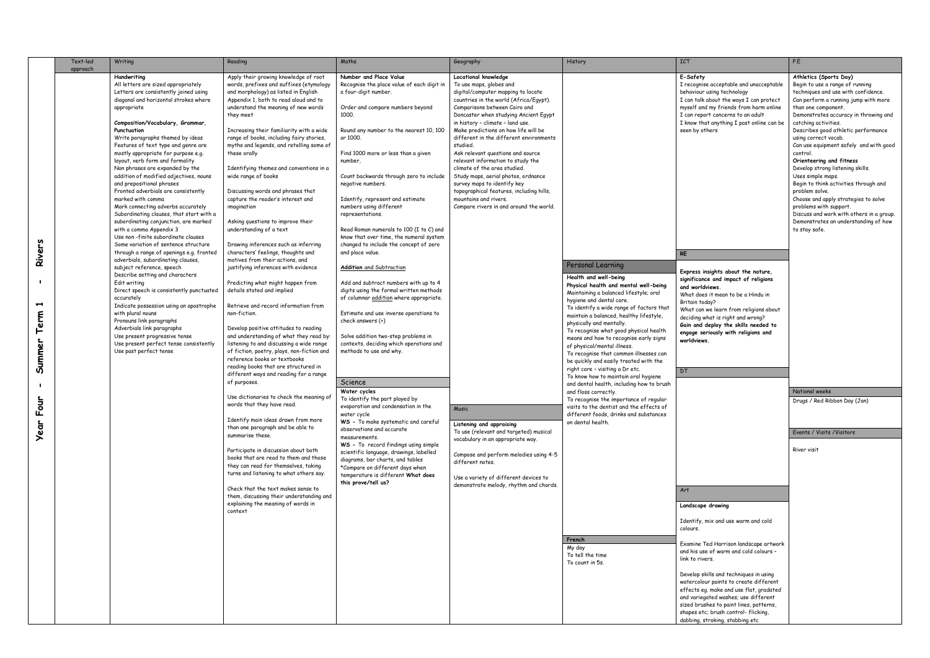|                               | Text-led<br>approach | Writing                                                                                                                                                                                                                                                                                                                                                                                                                                                                                                                                                                                                                                                                                                                                                               | Reading                                                                                                                                                                                                                                                                                                                                                                                                                                                                                                                                                                                                                                      | Maths                                                                                                                                                                                                                                                                                                                                                                                                                                                                                                                                 | Geography                                                                                                                                                                                                                                                                                                                                                                                                                                                                                                                                                                                                                                    | History                                                                                                                                                                                                                                                                                                                                                                                                                                                                                                                | <b>ICT</b>                                                                                                                                                                                                                                                                                                                                                                                      | P.E                                                                                                                                                                                                                                                                                                                                                                                                                                                                                                                                                                                                                                                                          |
|-------------------------------|----------------------|-----------------------------------------------------------------------------------------------------------------------------------------------------------------------------------------------------------------------------------------------------------------------------------------------------------------------------------------------------------------------------------------------------------------------------------------------------------------------------------------------------------------------------------------------------------------------------------------------------------------------------------------------------------------------------------------------------------------------------------------------------------------------|----------------------------------------------------------------------------------------------------------------------------------------------------------------------------------------------------------------------------------------------------------------------------------------------------------------------------------------------------------------------------------------------------------------------------------------------------------------------------------------------------------------------------------------------------------------------------------------------------------------------------------------------|---------------------------------------------------------------------------------------------------------------------------------------------------------------------------------------------------------------------------------------------------------------------------------------------------------------------------------------------------------------------------------------------------------------------------------------------------------------------------------------------------------------------------------------|----------------------------------------------------------------------------------------------------------------------------------------------------------------------------------------------------------------------------------------------------------------------------------------------------------------------------------------------------------------------------------------------------------------------------------------------------------------------------------------------------------------------------------------------------------------------------------------------------------------------------------------------|------------------------------------------------------------------------------------------------------------------------------------------------------------------------------------------------------------------------------------------------------------------------------------------------------------------------------------------------------------------------------------------------------------------------------------------------------------------------------------------------------------------------|-------------------------------------------------------------------------------------------------------------------------------------------------------------------------------------------------------------------------------------------------------------------------------------------------------------------------------------------------------------------------------------------------|------------------------------------------------------------------------------------------------------------------------------------------------------------------------------------------------------------------------------------------------------------------------------------------------------------------------------------------------------------------------------------------------------------------------------------------------------------------------------------------------------------------------------------------------------------------------------------------------------------------------------------------------------------------------------|
|                               |                      | Handwriting<br>All letters are sized appropriately<br>Letters are consistently joined using<br>diagonal and horizontal strokes where<br>appropriate<br>Composition/Vocabulary, Grammar,<br>Punctuation<br>Write paragraphs themed by ideas<br>Features of text type and genre are<br>mostly appropriate for purpose e.g.<br>layout, verb form and formality<br>Non phrases are expanded by the<br>addition of modified adjectives, nouns<br>and prepositional phrases<br>Fronted adverbials are consistently<br>marked with commo<br>Mark connecting adverbs accurately<br>Subordinating clauses, that start with a<br>subordinating conjunction, are marked<br>with a comma Appendix 3<br>Use non-finite subordinate clauses<br>Some variation of sentence structure | Apply their growing knowledge of root<br>words, prefixes and suffixes (etymology<br>and morphology) as listed in English<br>Appendix 1, both to read aloud and to<br>understand the meaning of new words<br>they meet<br>Increasing their familiarity with a wide<br>range of books, including fairy stories,<br>myths and legends, and retelling some of<br>these orally<br>Identifying themes and conventions in a<br>wide range of books<br>Discussing words and phrases that<br>capture the reader's interest and<br>imagination<br>Asking questions to improve their<br>understanding of a text<br>Drawing inferences such as inferring | Number and Place Value<br>Recognise the place value of each digit in<br>a four-digit number.<br>Order and compare numbers beyond<br>1000.<br>Round any number to the nearest 10, 100<br>or 1000.<br>Find 1000 more or less than a given<br>number,<br>Count backwards through zero to include<br>negative numbers.<br>Identify, represent and estimate<br>numbers using different<br>representations.<br>Read Roman numerals to 100 (I to C) and<br>know that over time, the numeral system<br>changed to include the concept of zero | Locational knowledge<br>To use maps, globes and<br>digital/computer mapping to locate<br>countries in the world (Africa/Egypt).<br>Comparisons between Cairo and<br>Doncaster when studying Ancient Egypt<br>in history - climate - land use.<br>Make predictions on how life will be<br>different in the different environments<br>studied.<br>Ask relevant questions and source<br>relevant information to study the<br>climate of the area studied.<br>Study maps, aerial photos, ordnance<br>survey maps to identify key<br>topographical features, including hills,<br>mountains and rivers.<br>Compare rivers in and around the world. |                                                                                                                                                                                                                                                                                                                                                                                                                                                                                                                        | E-Safety<br>I recognise acceptable and unacceptable<br>behaviour using technology<br>I can talk about the ways I can protect<br>myself and my friends from harm online<br>I can report concerns to an adult<br>I know that anything I post online can be<br>seen by others                                                                                                                      | Athletics (Sports Day)<br>Begin to use a range of running<br>techniques and use with confidence.<br>Can perform a running jump with more<br>than one component.<br>Demonstrates accuracy in throwing and<br>catching activities.<br>Describes good athletic performance<br>using correct vocab.<br>Can use equipment safely and with good<br>control.<br>Orienteering and fitness<br>Develop strong listening skills.<br>Uses simple maps.<br>Begin to think activities through and<br>problem solve.<br>Choose and apply strategies to solve<br>problems with support.<br>Discuss and work with others in a group.<br>Demonstrates an understanding of how<br>to stay safe. |
| Rivers<br>H<br>Term<br>Summer |                      | through a range of openings e.g. fronted<br>adverbials, subordinating clauses,<br>subject reference, speech<br>Describe setting and characters<br>Edit writing<br>Direct speech is consistently punctuated<br>accurately<br>Indicate possession using an apostrophe<br>with plural nouns<br>Pronouns link paragraphs<br>Adverbials link paragraphs<br>Use present progressive tense<br>Use present perfect tense consistently<br>Use past perfect tense                                                                                                                                                                                                                                                                                                               | characters' feelings, thoughts and<br>motives from their actions, and<br>justifying inferences with evidence<br>Predicting what might happen from<br>details stated and implied<br>Retrieve and record information from<br>non-fiction.<br>Develop positive attitudes to reading<br>and understanding of what they read by:<br>listening to and discussing a wide range<br>of fiction, poetry, plays, non-fiction and<br>reference books or textbooks<br>reading books that are structured in                                                                                                                                                | and place value.<br><b>Addition</b> and Subtraction<br>Add and subtract numbers with up to 4<br>digits using the formal written methods<br>of columnar addition where appropriate.<br>Estimate and use inverse operations to<br>check answers (+)<br>Solve addition two-step problems in<br>contexts, deciding which operations and<br>methods to use and why.                                                                                                                                                                        |                                                                                                                                                                                                                                                                                                                                                                                                                                                                                                                                                                                                                                              | Personal Learning<br>Health and well-being<br>Physical health and mental well-being<br>Maintaining a balanced lifestyle; oral<br>hygiene and dental care.<br>To identify a wide range of factors that<br>maintain a balanced, healthy lifestyle,<br>physically and mentally.<br>To recognise what good physical health<br>means and how to recognise early signs<br>of physical/mental illness.<br>To recognise that common illnesses can<br>be quickly and easily treated with the<br>right care - visiting a Dr etc. | <b>RE</b><br>Express insights about the nature,<br>significance and impact of religions<br>and worldviews.<br>What does it mean to be a Hindu in<br>Britain today?<br>What can we learn from religions about<br>deciding what is right and wrong?<br>Gain and deploy the skills needed to<br>engage seriously with religions and<br>worldviews.<br>DT.                                          |                                                                                                                                                                                                                                                                                                                                                                                                                                                                                                                                                                                                                                                                              |
|                               |                      |                                                                                                                                                                                                                                                                                                                                                                                                                                                                                                                                                                                                                                                                                                                                                                       | different ways and reading for a range<br>of purposes.                                                                                                                                                                                                                                                                                                                                                                                                                                                                                                                                                                                       | Science                                                                                                                                                                                                                                                                                                                                                                                                                                                                                                                               |                                                                                                                                                                                                                                                                                                                                                                                                                                                                                                                                                                                                                                              | To know how to maintain oral hygiene<br>and dental health, including how to brush                                                                                                                                                                                                                                                                                                                                                                                                                                      |                                                                                                                                                                                                                                                                                                                                                                                                 |                                                                                                                                                                                                                                                                                                                                                                                                                                                                                                                                                                                                                                                                              |
| È<br>ق<br>ت                   |                      |                                                                                                                                                                                                                                                                                                                                                                                                                                                                                                                                                                                                                                                                                                                                                                       | Use dictionaries to check the meaning of<br>words that they have read.<br>Identify main ideas drawn from more                                                                                                                                                                                                                                                                                                                                                                                                                                                                                                                                | Water cycles<br>To identify the part played by<br>evaporation and condensation in the<br>water cycle<br>WS - To make systematic and careful                                                                                                                                                                                                                                                                                                                                                                                           | Music<br>Listening and appraising                                                                                                                                                                                                                                                                                                                                                                                                                                                                                                                                                                                                            | and floss correctly.<br>To recognise the importance of regular<br>visits to the dentist and the effects of<br>different foods, drinks and substances<br>on dental health.                                                                                                                                                                                                                                                                                                                                              |                                                                                                                                                                                                                                                                                                                                                                                                 | National weeks<br>Drugs / Red Ribbon Day (Jan)                                                                                                                                                                                                                                                                                                                                                                                                                                                                                                                                                                                                                               |
| ear                           |                      |                                                                                                                                                                                                                                                                                                                                                                                                                                                                                                                                                                                                                                                                                                                                                                       | than one paragraph and be able to<br>summarise these.<br>Participate in discussion about both<br>books that are read to them and those<br>they can read for themselves, taking<br>turns and listening to what others say.<br>Check that the text makes sense to<br>them, discussing their understanding and<br>explaining the meaning of words in<br>context                                                                                                                                                                                                                                                                                 | observations and accurate<br>measurements.<br>WS - To record findings using simple<br>scientific language, drawings, labelled<br>diagrams, bar charts, and tables<br>*Compare on different days when<br>temperature is different What does<br>this prove/tell us?                                                                                                                                                                                                                                                                     | To use (relevant and targeted) musical<br>vocabulary in an appropriate way.<br>Compose and perform melodies using 4-5<br>different notes.<br>Use a variety of different devices to<br>demonstrate melody, rhythm and chords.                                                                                                                                                                                                                                                                                                                                                                                                                 |                                                                                                                                                                                                                                                                                                                                                                                                                                                                                                                        | Art<br>Landscape drawing<br>Identify, mix and use warm and cold<br>colours.                                                                                                                                                                                                                                                                                                                     | Events / Visits / Visitors<br>River visit                                                                                                                                                                                                                                                                                                                                                                                                                                                                                                                                                                                                                                    |
|                               |                      |                                                                                                                                                                                                                                                                                                                                                                                                                                                                                                                                                                                                                                                                                                                                                                       |                                                                                                                                                                                                                                                                                                                                                                                                                                                                                                                                                                                                                                              |                                                                                                                                                                                                                                                                                                                                                                                                                                                                                                                                       |                                                                                                                                                                                                                                                                                                                                                                                                                                                                                                                                                                                                                                              | French<br>My day<br>To tell the time<br>To count in 5s.                                                                                                                                                                                                                                                                                                                                                                                                                                                                | Examine Ted Harrison landscape artwork<br>and his use of warm and cold colours -<br>link to rivers.<br>Develop skills and techniques in using<br>watercolour paints to create different<br>effects eg. make and use flat, gradated<br>and variegated washes; use different<br>sized brushes to paint lines, patterns,<br>shapes etc; brush control-flicking,<br>dabbing, stroking, stabbing etc |                                                                                                                                                                                                                                                                                                                                                                                                                                                                                                                                                                                                                                                                              |